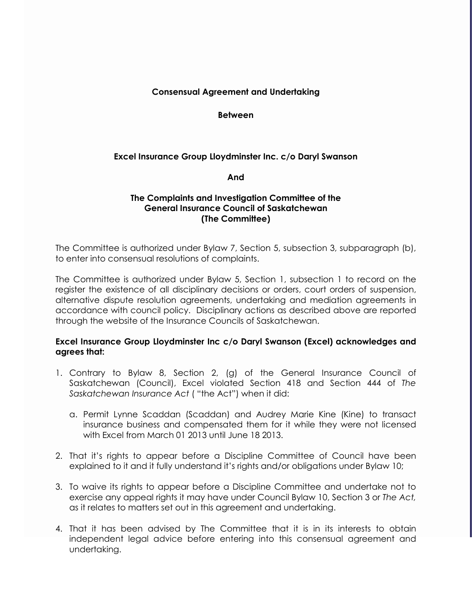### **Consensual Agreement and Undertaking**

**Between**

# **Excel Insurance Group Lloydminster Inc. c/o Daryl Swanson**

**And**

### **The Complaints and Investigation Committee of the General Insurance Council of Saskatchewan (The Committee)**

The Committee is authorized under Bylaw 7, Section 5, subsection 3, subparagraph (b), to enter into consensual resolutions of complaints.

The Committee is authorized under Bylaw 5, Section 1, subsection 1 to record on the register the existence of all disciplinary decisions or orders, court orders of suspension, alternative dispute resolution agreements, undertaking and mediation agreements in accordance with council policy. Disciplinary actions as described above are reported through the website of the Insurance Councils of Saskatchewan.

# **Excel Insurance Group Lloydminster Inc c/o Daryl Swanson (Excel) acknowledges and agrees that:**

- 1. Contrary to Bylaw 8, Section 2, (g) of the General Insurance Council of Saskatchewan (Council), Excel violated Section 418 and Section 444 of *The Saskatchewan Insurance Act* ( "the Act") when it did:
	- a. Permit Lynne Scaddan (Scaddan) and Audrey Marie Kine (Kine) to transact insurance business and compensated them for it while they were not licensed with Excel from March 01 2013 until June 18 2013.
- 2. That it's rights to appear before a Discipline Committee of Council have been explained to it and it fully understand it's rights and/or obligations under Bylaw 10;
- 3. To waive its rights to appear before a Discipline Committee and undertake not to exercise any appeal rights it may have under Council Bylaw 10, Section 3 or *The Act,*  as it relates to matters set out in this agreement and undertaking.
- 4. That it has been advised by The Committee that it is in its interests to obtain independent legal advice before entering into this consensual agreement and undertaking.